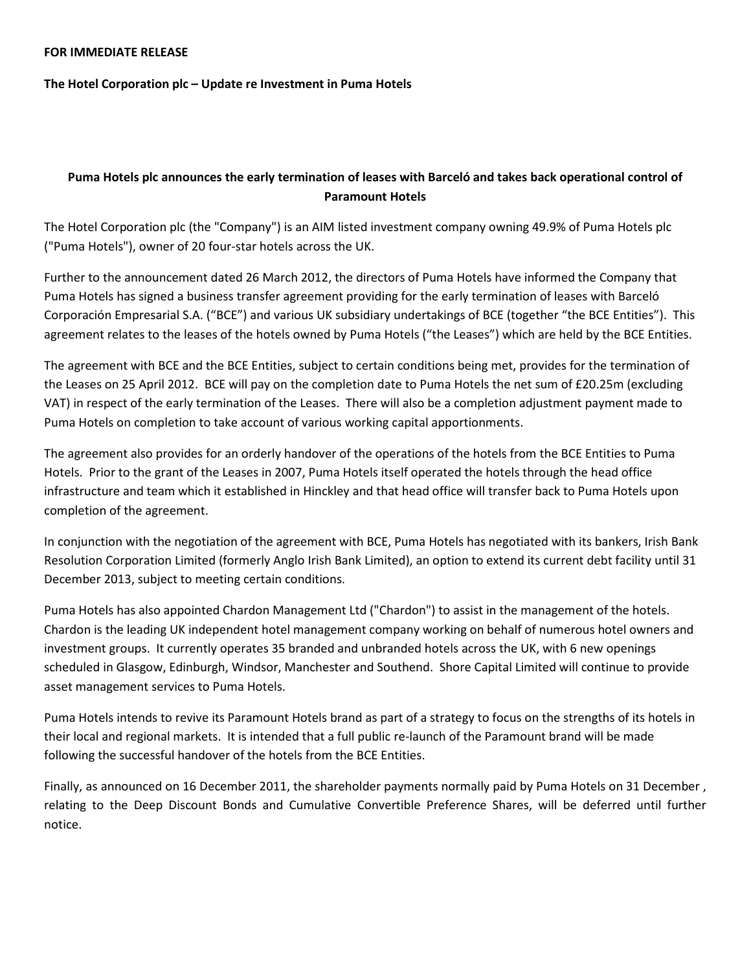## FOR IMMEDIATE RELEASE

The Hotel Corporation plc – Update re Investment in Puma Hotels

## Puma Hotels plc announces the early termination of leases with Barceló and takes back operational control of Paramount Hotels

The Hotel Corporation plc (the "Company") is an AIM listed investment company owning 49.9% of Puma Hotels plc ("Puma Hotels"), owner of 20 four-star hotels across the UK.

Further to the announcement dated 26 March 2012, the directors of Puma Hotels have informed the Company that Puma Hotels has signed a business transfer agreement providing for the early termination of leases with Barceló Corporación Empresarial S.A. ("BCE") and various UK subsidiary undertakings of BCE (together "the BCE Entities"). This agreement relates to the leases of the hotels owned by Puma Hotels ("the Leases") which are held by the BCE Entities.

The agreement with BCE and the BCE Entities, subject to certain conditions being met, provides for the termination of the Leases on 25 April 2012. BCE will pay on the completion date to Puma Hotels the net sum of £20.25m (excluding VAT) in respect of the early termination of the Leases. There will also be a completion adjustment payment made to Puma Hotels on completion to take account of various working capital apportionments.

The agreement also provides for an orderly handover of the operations of the hotels from the BCE Entities to Puma Hotels. Prior to the grant of the Leases in 2007, Puma Hotels itself operated the hotels through the head office infrastructure and team which it established in Hinckley and that head office will transfer back to Puma Hotels upon completion of the agreement.

In conjunction with the negotiation of the agreement with BCE, Puma Hotels has negotiated with its bankers, Irish Bank Resolution Corporation Limited (formerly Anglo Irish Bank Limited), an option to extend its current debt facility until 31 December 2013, subject to meeting certain conditions.

Puma Hotels has also appointed Chardon Management Ltd ("Chardon") to assist in the management of the hotels. Chardon is the leading UK independent hotel management company working on behalf of numerous hotel owners and investment groups. It currently operates 35 branded and unbranded hotels across the UK, with 6 new openings scheduled in Glasgow, Edinburgh, Windsor, Manchester and Southend. Shore Capital Limited will continue to provide asset management services to Puma Hotels.

Puma Hotels intends to revive its Paramount Hotels brand as part of a strategy to focus on the strengths of its hotels in their local and regional markets. It is intended that a full public re-launch of the Paramount brand will be made following the successful handover of the hotels from the BCE Entities.

Finally, as announced on 16 December 2011, the shareholder payments normally paid by Puma Hotels on 31 December , relating to the Deep Discount Bonds and Cumulative Convertible Preference Shares, will be deferred until further notice.